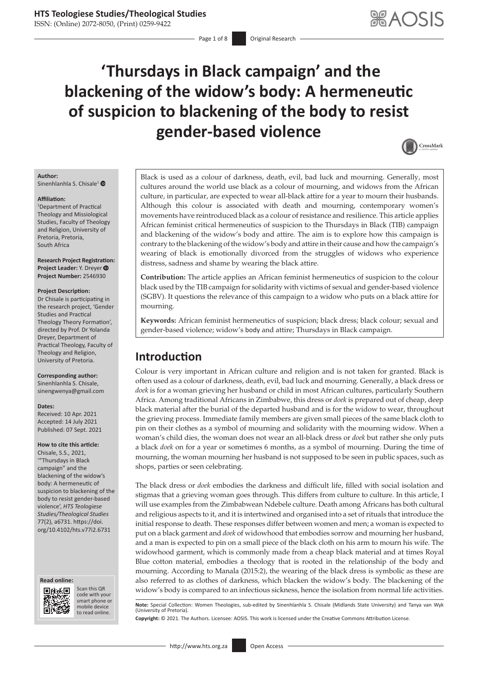# **'Thursdays in Black campaign' and the blackening of the widow's body: A hermeneutic of suspicion to blackening of the body to resist gender-based violence**



#### **Author:**

Sinenhlanhla S. Chisale<sup>[1](http://orcid.org/0000-0001-7227-2206)</sup>

#### **Affiliation:**

1 Department of Practical Theology and Missiological Studies, Faculty of Theology and Religion, University of Pretoria, Pretoria, South Africa

**Research Project Registration: Project Leader:** Y. Dreye[r](https://orcid.org/0000-0002-6839-3256)  **Project Number:** 2546930

#### **Project Description:**

Dr Chisale is participating in the research project, 'Gender Studies and Practical Theology Theory Formation', directed by Prof. Dr Yolanda Dreyer, Department of Practical Theology, Faculty of Theology and Religion, University of Pretoria.

#### **Corresponding author:**

Sinenhlanhla S. Chisale, [sinengwenya@gmail.com](mailto:sinengwenya@gmail.com)

#### **Dates:**

Received: 10 Apr. 2021 Accepted: 14 July 2021 Published: 07 Sept. 2021

#### **How to cite this article:**

Chisale, S.S., 2021, '"Thursdays in Black campaign" and the blackening of the widow's body: A hermeneutic of suspicion to blackening of the body to resist gender-based violence', *HTS Teologiese Studies/Theological Studies* 77(2), a6731. [https://doi.](https://doi.org/10.4102/hts.v77i2.6731) [org/10.4102/hts.v77i2.6731](https://doi.org/10.4102/hts.v77i2.6731)





Scan this QR code with your Scan this QR<br>code with your<br>smart phone or<br>mobile device mobile device to read online. to read online.

Black is used as a colour of darkness, death, evil, bad luck and mourning. Generally, most cultures around the world use black as a colour of mourning, and widows from the African culture, in particular, are expected to wear all-black attire for a year to mourn their husbands. Although this colour is associated with death and mourning, contemporary women's movements have reintroduced black as a colour of resistance and resilience. This article applies African feminist critical hermeneutics of suspicion to the Thursdays in Black (TIB) campaign and blackening of the widow's body and attire. The aim is to explore how this campaign is contrary to the blackening of the widow's body and attire in their cause and how the campaign's wearing of black is emotionally divorced from the struggles of widows who experience distress, sadness and shame by wearing the black attire.

**Contribution:** The article applies an African feminist hermeneutics of suspicion to the colour black used by the TIB campaign for solidarity with victims of sexual and gender-based violence (SGBV). It questions the relevance of this campaign to a widow who puts on a black attire for mourning.

**Keywords:** African feminist hermeneutics of suspicion; black dress; black colour; sexual and gender-based violence; widow's body and attire; Thursdays in Black campaign.

# **Introduction**

Colour is very important in African culture and religion and is not taken for granted. Black is often used as a colour of darkness, death, evil, bad luck and mourning. Generally, a black dress or *doek* is for a woman grieving her husband or child in most African cultures, particularly Southern Africa. Among traditional Africans in Zimbabwe, this dress or *doek* is prepared out of cheap, deep black material after the burial of the departed husband and is for the widow to wear, throughout the grieving process. Immediate family members are given small pieces of the same black cloth to pin on their clothes as a symbol of mourning and solidarity with the mourning widow. When a woman's child dies, the woman does not wear an all-black dress or *doek* but rather she only puts a black *doek* on for a year or sometimes 6 months, as a symbol of mourning. During the time of mourning, the woman mourning her husband is not supposed to be seen in public spaces, such as shops, parties or seen celebrating.

The black dress or *doek* embodies the darkness and difficult life, filled with social isolation and stigmas that a grieving woman goes through. This differs from culture to culture. In this article, I will use examples from the Zimbabwean Ndebele culture. Death among Africans has both cultural and religious aspects to it, and it is intertwined and organised into a set of rituals that introduce the initial response to death. These responses differ between women and men; a woman is expected to put on a black garment and *doek* of widowhood that embodies sorrow and mourning her husband, and a man is expected to pin on a small piece of the black cloth on his arm to mourn his wife. The widowhood garment, which is commonly made from a cheap black material and at times Royal Blue cotton material, embodies a theology that is rooted in the relationship of the body and mourning. According to Manala (2015:2), the wearing of the black dress is symbolic as these are also referred to as clothes of darkness, which blacken the widow's body. The blackening of the widow's body is compared to an infectious sickness, hence the isolation from normal life activities.

**Note:** Special Collection: Women Theologies, sub-edited by Sinenhlanhla S. Chisale (Midlands State University) and Tanya van Wyk (University of Pretoria).

**Copyright:** © 2021. The Authors. Licensee: AOSIS. This work is licensed under the Creative Commons Attribution License.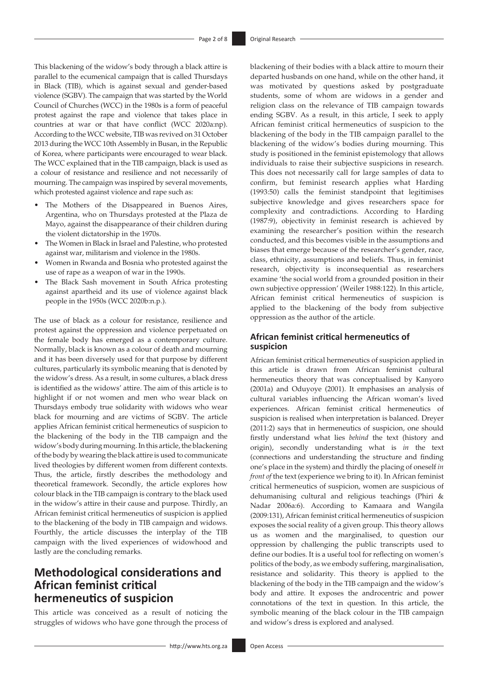This blackening of the widow's body through a black attire is parallel to the ecumenical campaign that is called Thursdays in Black (TIB), which is against sexual and gender-based violence (SGBV). The campaign that was started by the World Council of Churches (WCC) in the 1980s is a form of peaceful protest against the rape and violence that takes place in countries at war or that have conflict (WCC 2020a:np). According to the WCC website, TIB was revived on 31 October 2013 during the WCC 10th Assembly in Busan, in the Republic of Korea, where participants were encouraged to wear black. The WCC explained that in the TIB campaign, black is used as a colour of resistance and resilience and not necessarily of mourning. The campaign was inspired by several movements, which protested against violence and rape such as:

- The Mothers of the Disappeared in Buenos Aires, Argentina, who on Thursdays protested at the Plaza de Mayo, against the disappearance of their children during the violent dictatorship in the 1970s.
- The Women in Black in Israel and Palestine, who protested against war, militarism and violence in the 1980s.
- Women in Rwanda and Bosnia who protested against the use of rape as a weapon of war in the 1990s.
- The Black Sash movement in South Africa protesting against apartheid and its use of violence against black people in the 1950s (WCC 2020b:n.p.).

The use of black as a colour for resistance, resilience and protest against the oppression and violence perpetuated on the female body has emerged as a contemporary culture. Normally, black is known as a colour of death and mourning and it has been diversely used for that purpose by different cultures, particularly its symbolic meaning that is denoted by the widow's dress. As a result, in some cultures, a black dress is identified as the widows' attire. The aim of this article is to highlight if or not women and men who wear black on Thursdays embody true solidarity with widows who wear black for mourning and are victims of SGBV. The article applies African feminist critical hermeneutics of suspicion to the blackening of the body in the TIB campaign and the widow's body during mourning. In this article, the blackening of the body by wearing the black attire is used to communicate lived theologies by different women from different contexts. Thus, the article, firstly describes the methodology and theoretical framework. Secondly, the article explores how colour black in the TIB campaign is contrary to the black used in the widow's attire in their cause and purpose. Thirdly, an African feminist critical hermeneutics of suspicion is applied to the blackening of the body in TIB campaign and widows. Fourthly, the article discusses the interplay of the TIB campaign with the lived experiences of widowhood and lastly are the concluding remarks.

# **Methodological considerations and African feminist critical hermeneutics of suspicion**

This article was conceived as a result of noticing the struggles of widows who have gone through the process of blackening of their bodies with a black attire to mourn their departed husbands on one hand, while on the other hand, it was motivated by questions asked by postgraduate students, some of whom are widows in a gender and religion class on the relevance of TIB campaign towards ending SGBV. As a result, in this article, I seek to apply African feminist critical hermeneutics of suspicion to the blackening of the body in the TIB campaign parallel to the blackening of the widow's bodies during mourning. This study is positioned in the feminist epistemology that allows individuals to raise their subjective suspicions in research. This does not necessarily call for large samples of data to confirm, but feminist research applies what Harding (1993:50) calls the feminist standpoint that legitimises subjective knowledge and gives researchers space for complexity and contradictions. According to Harding (1987:9), objectivity in feminist research is achieved by examining the researcher's position within the research conducted, and this becomes visible in the assumptions and biases that emerge because of the researcher's gender, race, class, ethnicity, assumptions and beliefs. Thus, in feminist research, objectivity is inconsequential as researchers examine 'the social world from a grounded position in their own subjective oppression' (Weiler 1988:122). In this article, African feminist critical hermeneutics of suspicion is applied to the blackening of the body from subjective oppression as the author of the article.

### **African feminist critical hermeneutics of suspicion**

African feminist critical hermeneutics of suspicion applied in this article is drawn from African feminist cultural hermeneutics theory that was conceptualised by Kanyoro (2001a) and Oduyoye (2001). It emphasises an analysis of cultural variables influencing the African woman's lived experiences. African feminist critical hermeneutics of suspicion is realised when interpretation is balanced. Dreyer (2011:2) says that in hermeneutics of suspicion, one should firstly understand what lies *behind* the text (history and origin), secondly understanding what is *in* the text (connections and understanding the structure and finding one's place in the system) and thirdly the placing of oneself *in front of* the text (experience we bring to it). In African feminist critical hermeneutics of suspicion, women are suspicious of dehumanising cultural and religious teachings (Phiri & Nadar 2006a:6). According to Kamaara and Wangila (2009:131), African feminist critical hermeneutics of suspicion exposes the social reality of a given group. This theory allows us as women and the marginalised, to question our oppression by challenging the public transcripts used to define our bodies. It is a useful tool for reflecting on women's politics of the body, as we embody suffering, marginalisation, resistance and solidarity. This theory is applied to the blackening of the body in the TIB campaign and the widow's body and attire. It exposes the androcentric and power connotations of the text in question. In this article, the symbolic meaning of the black colour in the TIB campaign and widow's dress is explored and analysed.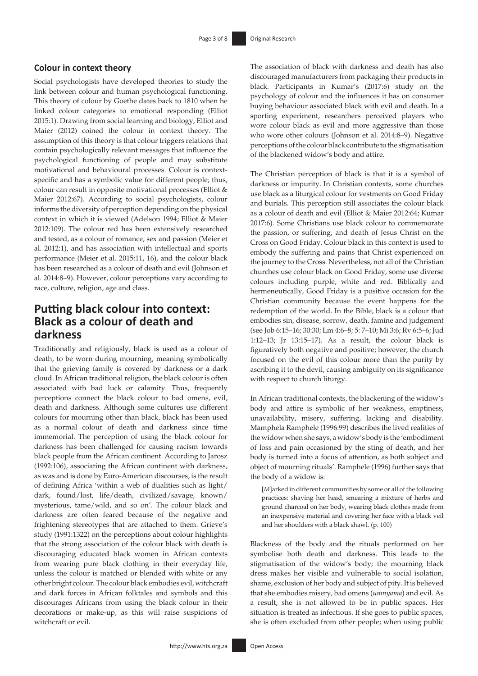### **Colour in context theory**

Social psychologists have developed theories to study the link between colour and human psychological functioning. This theory of colour by Goethe dates back to 1810 when he linked colour categories to emotional responding (Elliot 2015:1). Drawing from social learning and biology, Elliot and Maier (2012) coined the colour in context theory. The assumption of this theory is that colour triggers relations that contain psychologically relevant messages that influence the psychological functioning of people and may substitute motivational and behavioural processes. Colour is contextspecific and has a symbolic value for different people; thus, colour can result in opposite motivational processes (Elliot & Maier 2012:67). According to social psychologists, colour informs the diversity of perception depending on the physical context in which it is viewed (Adelson 1994; Elliot & Maier 2012:109). The colour red has been extensively researched and tested, as a colour of romance, sex and passion (Meier et al. 2012:1), and has association with intellectual and sports performance (Meier et al. 2015:11, 16), and the colour black has been researched as a colour of death and evil (Johnson et al. 2014:8–9). However, colour perceptions vary according to race, culture, religion, age and class.

## **Putting black colour into context: Black as a colour of death and darkness**

Traditionally and religiously, black is used as a colour of death, to be worn during mourning, meaning symbolically that the grieving family is covered by darkness or a dark cloud. In African traditional religion, the black colour is often associated with bad luck or calamity. Thus, frequently perceptions connect the black colour to bad omens, evil, death and darkness. Although some cultures use different colours for mourning other than black, black has been used as a normal colour of death and darkness since time immemorial. The perception of using the black colour for darkness has been challenged for causing racism towards black people from the African continent. According to Jarosz (1992:106), associating the African continent with darkness, as was and is done by Euro-American discourses, is the result of defining Africa 'within a web of dualities such as light/ dark, found/lost, life/death, civilized/savage, known/ mysterious, tame/wild, and so on'. The colour black and darkness are often feared because of the negative and frightening stereotypes that are attached to them. Grieve's study (1991:1322) on the perceptions about colour highlights that the strong association of the colour black with death is discouraging educated black women in African contexts from wearing pure black clothing in their everyday life, unless the colour is matched or blended with white or any other bright colour. The colour black embodies evil, witchcraft and dark forces in African folktales and symbols and this discourages Africans from using the black colour in their decorations or make-up, as this will raise suspicions of witchcraft or evil.

The association of black with darkness and death has also discouraged manufacturers from packaging their products in black. Participants in Kumar's (2017:6) study on the psychology of colour and the influences it has on consumer buying behaviour associated black with evil and death. In a sporting experiment, researchers perceived players who wore colour black as evil and more aggressive than those who wore other colours (Johnson et al. 2014:8–9). Negative perceptions of the colour black contribute to the stigmatisation of the blackened widow's body and attire.

The Christian perception of black is that it is a symbol of darkness or impurity. In Christian contexts, some churches use black as a liturgical colour for vestments on Good Friday and burials. This perception still associates the colour black as a colour of death and evil (Elliot & Maier 2012:64; Kumar 2017:6). Some Christians use black colour to commemorate the passion, or suffering, and death of Jesus Christ on the Cross on Good Friday. Colour black in this context is used to embody the suffering and pains that Christ experienced on the journey to the Cross. Nevertheless, not all of the Christian churches use colour black on Good Friday, some use diverse colours including purple, white and red. Biblically and hermeneutically, Good Friday is a positive occasion for the Christian community because the event happens for the redemption of the world. In the Bible, black is a colour that embodies sin, disease, sorrow, death, famine and judgement (see Job 6:15–16; 30:30; Lm 4:6–8; 5: 7–10; Mi 3:6; Rv 6:5–6; Jud 1:12–13; Jr 13:15–17). As a result, the colour black is figuratively both negative and positive; however, the church focused on the evil of this colour more than the purity by ascribing it to the devil, causing ambiguity on its significance with respect to church liturgy.

In African traditional contexts, the blackening of the widow's body and attire is symbolic of her weakness, emptiness, unavailability, misery, suffering, lacking and disability. Mamphela Ramphele (1996:99) describes the lived realities of the widow when she says, a widow's body is the 'embodiment of loss and pain occasioned by the sting of death, and her body is turned into a focus of attention, as both subject and object of mourning rituals'. Ramphele (1996) further says that the body of a widow is:

[*M*]arked in different communities by some or all of the following practices: shaving her head, smearing a mixture of herbs and ground charcoal on her body, wearing black clothes made from an inexpensive material and covering her face with a black veil and her shoulders with a black shawl. (p. 100)

Blackness of the body and the rituals performed on her symbolise both death and darkness. This leads to the stigmatisation of the widow's body; the mourning black dress makes her visible and vulnerable to social isolation, shame, exclusion of her body and subject of pity. It is believed that she embodies misery, bad omens (*umnyama*) and evil. As a result, she is not allowed to be in public spaces. Her situation is treated as infectious. If she goes to public spaces, she is often excluded from other people; when using public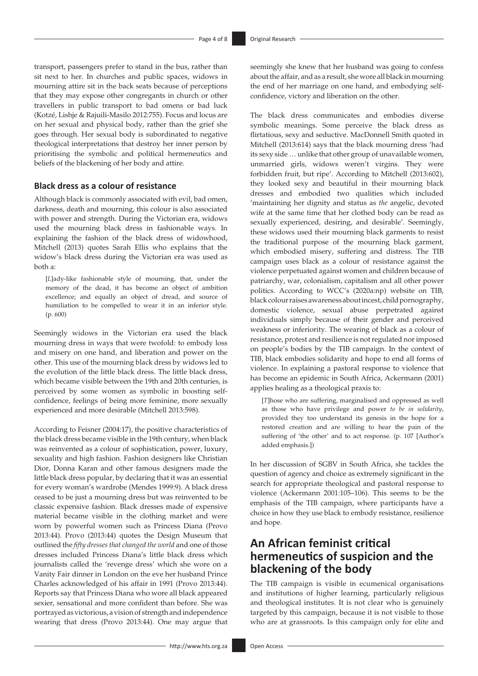transport, passengers prefer to stand in the bus, rather than sit next to her. In churches and public spaces, widows in mourning attire sit in the back seats because of perceptions that they may expose other congregants in church or other travellers in public transport to bad omens or bad luck (Kotzé, Lishje & Rajuili-Masilo 2012:755). Focus and locus are on her sexual and physical body, rather than the grief she goes through. Her sexual body is subordinated to negative theological interpretations that destroy her inner person by prioritising the symbolic and political hermeneutics and beliefs of the blackening of her body and attire.

### **Black dress as a colour of resistance**

Although black is commonly associated with evil, bad omen, darkness, death and mourning, this colour is also associated with power and strength. During the Victorian era, widows used the mourning black dress in fashionable ways. In explaining the fashion of the black dress of widowhood, Mitchell (2013) quotes Sarah Ellis who explains that the widow's black dress during the Victorian era was used as both a:

[*L*]ady-like fashionable style of mourning, that, under the memory of the dead, it has become an object of ambition excellence; and equally an object of dread, and source of humiliation to be compelled to wear it in an inferior style. (p. 600)

Seemingly widows in the Victorian era used the black mourning dress in ways that were twofold: to embody loss and misery on one hand, and liberation and power on the other. This use of the mourning black dress by widows led to the evolution of the little black dress. The little black dress, which became visible between the 19th and 20th centuries, is perceived by some women as symbolic in boosting selfconfidence, feelings of being more feminine, more sexually experienced and more desirable (Mitchell 2013:598).

According to Feisner (2004:17), the positive characteristics of the black dress became visible in the 19th century, when black was reinvented as a colour of sophistication, power, luxury, sexuality and high fashion. Fashion designers like Christian Dior, Donna Karan and other famous designers made the little black dress popular, by declaring that it was an essential for every woman's wardrobe (Mendes 1999:9). A black dress ceased to be just a mourning dress but was reinvented to be classic expensive fashion. Black dresses made of expensive material became visible in the clothing market and were worn by powerful women such as Princess Diana (Provo 2013:44). Provo (2013:44) quotes the Design Museum that outlined the *fifty dresses that changed the world* and one of those dresses included Princess Diana's little black dress which journalists called the 'revenge dress' which she wore on a Vanity Fair dinner in London on the eve her husband Prince Charles acknowledged of his affair in 1991 (Provo 2013:44). Reports say that Princess Diana who wore all black appeared sexier, sensational and more confident than before. She was portrayed as victorious, a vision of strength and independence wearing that dress (Provo 2013:44). One may argue that seemingly she knew that her husband was going to confess about the affair, and as a result, she wore all black in mourning the end of her marriage on one hand, and embodying selfconfidence, victory and liberation on the other.

The black dress communicates and embodies diverse symbolic meanings. Some perceive the black dress as flirtatious, sexy and seductive. MacDonnell Smith quoted in Mitchell (2013:614) says that the black mourning dress 'had its sexy side … unlike that other group of unavailable women, unmarried girls, widows weren't virgins. They were forbidden fruit, but ripe'. According to Mitchell (2013:602), they looked sexy and beautiful in their mourning black dresses and embodied two qualities which included 'maintaining her dignity and status as *the* angelic, devoted wife at the same time that her clothed body can be read as sexually experienced, desiring, and desirable'. Seemingly, these widows used their mourning black garments to resist the traditional purpose of the mourning black garment, which embodied misery, suffering and distress. The TIB campaign uses black as a colour of resistance against the violence perpetuated against women and children because of patriarchy, war, colonialism, capitalism and all other power politics. According to WCC's (2020a:np) website on TIB, black colour raises awareness about incest, child pornography, domestic violence, sexual abuse perpetrated against individuals simply because of their gender and perceived weakness or inferiority. The wearing of black as a colour of resistance, protest and resilience is not regulated nor imposed on people's bodies by the TIB campaign. In the context of TIB, black embodies solidarity and hope to end all forms of violence. In explaining a pastoral response to violence that has become an epidemic in South Africa, Ackermann (2001) applies healing as a theological praxis to:

[*T*]hose who are suffering, marginalised and oppressed as well as those who have privilege and power *to be in solidarity*, provided they too understand its genesis in the hope for a restored creation and are willing to hear the pain of the suffering of 'the other' and to act response. (p. 107 [Author's added emphasis.])

In her discussion of SGBV in South Africa, she tackles the question of agency and choice as extremely significant in the search for appropriate theological and pastoral response to violence (Ackermann 2001:105–106). This seems to be the emphasis of the TIB campaign, where participants have a choice in how they use black to embody resistance, resilience and hope.

# **An African feminist critical hermeneutics of suspicion and the blackening of the body**

The TIB campaign is visible in ecumenical organisations and institutions of higher learning, particularly religious and theological institutes. It is not clear who is genuinely targeted by this campaign, because it is not visible to those who are at grassroots. Is this campaign only for elite and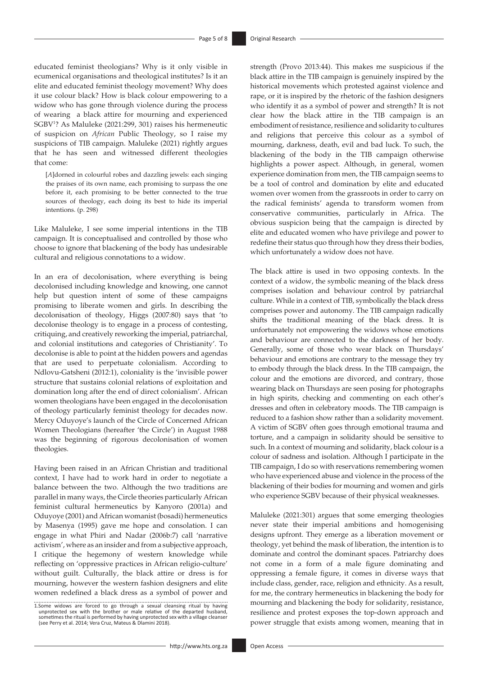educated feminist theologians? Why is it only visible in ecumenical organisations and theological institutes? Is it an elite and educated feminist theology movement? Why does it use colour black? How is black colour empowering to a widow who has gone through violence during the process of wearing a black attire for mourning and experienced SGBV1 ? As Maluleke (2021:299, 301) raises his hermeneutic of suspicion on *African* Public Theology, so I raise my suspicions of TIB campaign. Maluleke (2021) rightly argues that he has seen and witnessed different theologies that come:

[*A*]dorned in colourful robes and dazzling jewels: each singing the praises of its own name, each promising to surpass the one before it, each promising to be better connected to the true sources of theology, each doing its best to hide its imperial intentions. (p. 298)

Like Maluleke, I see some imperial intentions in the TIB campaign. It is conceptualised and controlled by those who choose to ignore that blackening of the body has undesirable cultural and religious connotations to a widow.

In an era of decolonisation, where everything is being decolonised including knowledge and knowing, one cannot help but question intent of some of these campaigns promising to liberate women and girls. In describing the decolonisation of theology, Higgs (2007:80) says that 'to decolonise theology is to engage in a process of contesting, critiquing, and creatively reworking the imperial, patriarchal, and colonial institutions and categories of Christianity'. To decolonise is able to point at the hidden powers and agendas that are used to perpetuate colonialism. According to Ndlovu-Gatsheni (2012:1), coloniality is the 'invisible power structure that sustains colonial relations of exploitation and domination long after the end of direct colonialism'. African women theologians have been engaged in the decolonisation of theology particularly feminist theology for decades now. Mercy Oduyoye's launch of the Circle of Concerned African Women Theologians (hereafter 'the Circle') in August 1988 was the beginning of rigorous decolonisation of women theologies.

Having been raised in an African Christian and traditional context, I have had to work hard in order to negotiate a balance between the two. Although the two traditions are parallel in many ways, the Circle theories particularly African feminist cultural hermeneutics by Kanyoro (2001a) and Oduyoye (2001) and African womanist (bosadi) hermeneutics by Masenya (1995) gave me hope and consolation. I can engage in what Phiri and Nadar (2006b:7) call 'narrative activism', where as an insider and from a subjective approach, I critique the hegemony of western knowledge while reflecting on 'oppressive practices in African religio-culture' without guilt. Culturally, the black attire or dress is for mourning, however the western fashion designers and elite women redefined a black dress as a symbol of power and strength (Provo 2013:44). This makes me suspicious if the black attire in the TIB campaign is genuinely inspired by the historical movements which protested against violence and rape, or it is inspired by the rhetoric of the fashion designers who identify it as a symbol of power and strength? It is not clear how the black attire in the TIB campaign is an embodiment of resistance, resilience and solidarity to cultures and religions that perceive this colour as a symbol of mourning, darkness, death, evil and bad luck. To such, the blackening of the body in the TIB campaign otherwise highlights a power aspect. Although, in general, women experience domination from men, the TIB campaign seems to be a tool of control and domination by elite and educated women over women from the grassroots in order to carry on the radical feminists' agenda to transform women from conservative communities, particularly in Africa. The obvious suspicion being that the campaign is directed by elite and educated women who have privilege and power to redefine their status quo through how they dress their bodies, which unfortunately a widow does not have.

The black attire is used in two opposing contexts. In the context of a widow, the symbolic meaning of the black dress comprises isolation and behaviour control by patriarchal culture. While in a context of TIB, symbolically the black dress comprises power and autonomy. The TIB campaign radically shifts the traditional meaning of the black dress. It is unfortunately not empowering the widows whose emotions and behaviour are connected to the darkness of her body. Generally, some of those who wear black on Thursdays' behaviour and emotions are contrary to the message they try to embody through the black dress. In the TIB campaign, the colour and the emotions are divorced, and contrary, those wearing black on Thursdays are seen posing for photographs in high spirits, checking and commenting on each other's dresses and often in celebratory moods. The TIB campaign is reduced to a fashion show rather than a solidarity movement. A victim of SGBV often goes through emotional trauma and torture, and a campaign in solidarity should be sensitive to such. In a context of mourning and solidarity, black colour is a colour of sadness and isolation. Although I participate in the TIB campaign, I do so with reservations remembering women who have experienced abuse and violence in the process of the blackening of their bodies for mourning and women and girls who experience SGBV because of their physical weaknesses.

Maluleke (2021:301) argues that some emerging theologies never state their imperial ambitions and homogenising designs upfront. They emerge as a liberation movement or theology, yet behind the mask of liberation, the intention is to dominate and control the dominant spaces. Patriarchy does not come in a form of a male figure dominating and oppressing a female figure, it comes in diverse ways that include class, gender, race, religion and ethnicity. As a result, for me, the contrary hermeneutics in blackening the body for mourning and blackening the body for solidarity, resistance, resilience and protest exposes the top-down approach and power struggle that exists among women, meaning that in

<sup>1.</sup> Some widows are forced to go through a sexual cleansing ritual by having unprotected sex with the brother or male relative of the departed husband, sometimes the ritual is performed by having unprotected sex with a vill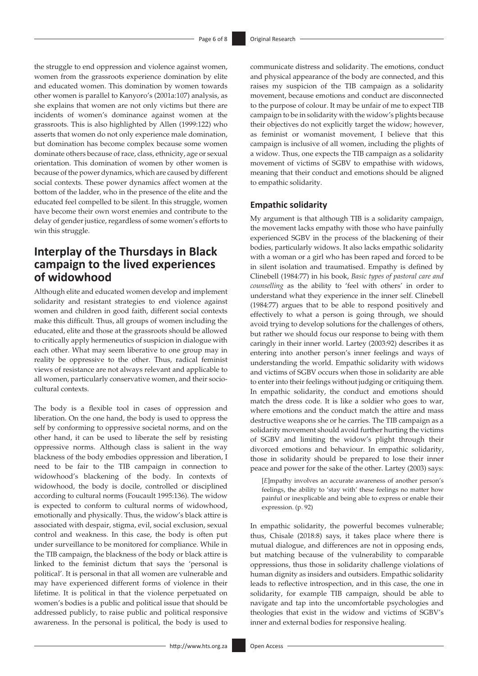the struggle to end oppression and violence against women, women from the grassroots experience domination by elite and educated women. This domination by women towards other women is parallel to Kanyoro's (2001a:107) analysis, as she explains that women are not only victims but there are incidents of women's dominance against women at the grassroots. This is also highlighted by Allen (1999:122) who asserts that women do not only experience male domination, but domination has become complex because some women dominate others because of race, class, ethnicity, age or sexual orientation. This domination of women by other women is because of the power dynamics, which are caused by different social contexts. These power dynamics affect women at the bottom of the ladder, who in the presence of the elite and the educated feel compelled to be silent. In this struggle, women have become their own worst enemies and contribute to the delay of gender justice, regardless of some women's efforts to win this struggle.

# **Interplay of the Thursdays in Black campaign to the lived experiences of widowhood**

Although elite and educated women develop and implement solidarity and resistant strategies to end violence against women and children in good faith, different social contexts make this difficult. Thus, all groups of women including the educated, elite and those at the grassroots should be allowed to critically apply hermeneutics of suspicion in dialogue with each other. What may seem liberative to one group may in reality be oppressive to the other. Thus, radical feminist views of resistance are not always relevant and applicable to all women, particularly conservative women, and their sociocultural contexts.

The body is a flexible tool in cases of oppression and liberation. On the one hand, the body is used to oppress the self by conforming to oppressive societal norms, and on the other hand, it can be used to liberate the self by resisting oppressive norms. Although class is salient in the way blackness of the body embodies oppression and liberation, I need to be fair to the TIB campaign in connection to widowhood's blackening of the body. In contexts of widowhood, the body is docile, controlled or disciplined according to cultural norms (Foucault 1995:136). The widow is expected to conform to cultural norms of widowhood, emotionally and physically. Thus, the widow's black attire is associated with despair, stigma, evil, social exclusion, sexual control and weakness. In this case, the body is often put under surveillance to be monitored for compliance. While in the TIB campaign, the blackness of the body or black attire is linked to the feminist dictum that says the 'personal is political'. It is personal in that all women are vulnerable and may have experienced different forms of violence in their lifetime. It is political in that the violence perpetuated on women's bodies is a public and political issue that should be addressed publicly, to raise public and political responsive awareness. In the personal is political, the body is used to

communicate distress and solidarity. The emotions, conduct and physical appearance of the body are connected, and this raises my suspicion of the TIB campaign as a solidarity movement, because emotions and conduct are disconnected to the purpose of colour. It may be unfair of me to expect TIB campaign to be in solidarity with the widow's plights because their objectives do not explicitly target the widow; however, as feminist or womanist movement, I believe that this campaign is inclusive of all women, including the plights of a widow. Thus, one expects the TIB campaign as a solidarity movement of victims of SGBV to empathise with widows, meaning that their conduct and emotions should be aligned to empathic solidarity.

### **Empathic solidarity**

My argument is that although TIB is a solidarity campaign, the movement lacks empathy with those who have painfully experienced SGBV in the process of the blackening of their bodies, particularly widows. It also lacks empathic solidarity with a woman or a girl who has been raped and forced to be in silent isolation and traumatised. Empathy is defined by Clinebell (1984:77) in his book, *Basic types of pastoral care and counselling* as the ability to 'feel with others' in order to understand what they experience in the inner self. Clinebell (1984:77) argues that to be able to respond positively and effectively to what a person is going through, we should avoid trying to develop solutions for the challenges of others, but rather we should focus our response to being with them caringly in their inner world. Lartey (2003:92) describes it as entering into another person's inner feelings and ways of understanding the world. Empathic solidarity with widows and victims of SGBV occurs when those in solidarity are able to enter into their feelings without judging or critiquing them. In empathic solidarity, the conduct and emotions should match the dress code. It is like a soldier who goes to war, where emotions and the conduct match the attire and mass destructive weapons she or he carries. The TIB campaign as a solidarity movement should avoid further hurting the victims of SGBV and limiting the widow's plight through their divorced emotions and behaviour. In empathic solidarity, those in solidarity should be prepared to lose their inner peace and power for the sake of the other. Lartey (2003) says:

[*E*]mpathy involves an accurate awareness of another person's feelings, the ability to 'stay with' these feelings no matter how painful or inexplicable and being able to express or enable their expression. (p. 92)

In empathic solidarity, the powerful becomes vulnerable; thus, Chisale (2018:8) says, it takes place where there is mutual dialogue, and differences are not in opposing ends, but matching because of the vulnerability to comparable oppressions, thus those in solidarity challenge violations of human dignity as insiders and outsiders. Empathic solidarity leads to reflective introspection, and in this case, the one in solidarity, for example TIB campaign, should be able to navigate and tap into the uncomfortable psychologies and theologies that exist in the widow and victims of SGBV's inner and external bodies for responsive healing.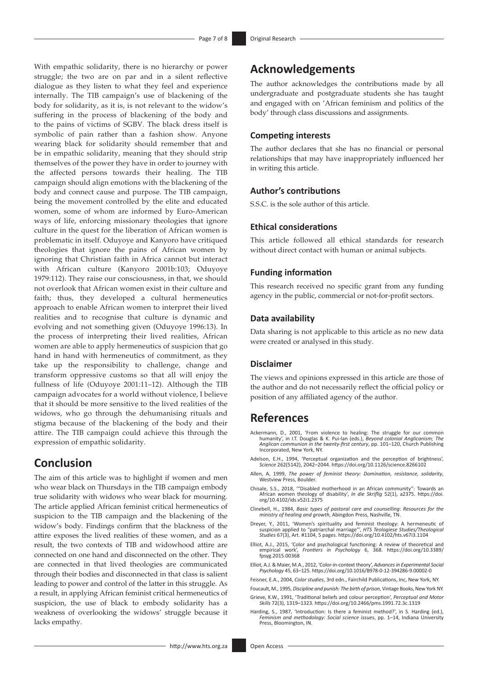With empathic solidarity, there is no hierarchy or power struggle; the two are on par and in a silent reflective dialogue as they listen to what they feel and experience internally. The TIB campaign's use of blackening of the body for solidarity, as it is, is not relevant to the widow's suffering in the process of blackening of the body and to the pains of victims of SGBV. The black dress itself is symbolic of pain rather than a fashion show. Anyone wearing black for solidarity should remember that and be in empathic solidarity, meaning that they should strip themselves of the power they have in order to journey with the affected persons towards their healing. The TIB campaign should align emotions with the blackening of the body and connect cause and purpose. The TIB campaign, being the movement controlled by the elite and educated women, some of whom are informed by Euro-American ways of life, enforcing missionary theologies that ignore culture in the quest for the liberation of African women is problematic in itself. Oduyoye and Kanyoro have critiqued theologies that ignore the pains of African women by ignoring that Christian faith in Africa cannot but interact with African culture (Kanyoro 2001b:103; Oduyoye 1979:112). They raise our consciousness, in that, we should not overlook that African women exist in their culture and faith; thus, they developed a cultural hermeneutics approach to enable African women to interpret their lived realities and to recognise that culture is dynamic and evolving and not something given (Oduyoye 1996:13). In the process of interpreting their lived realities, African women are able to apply hermeneutics of suspicion that go hand in hand with hermeneutics of commitment, as they take up the responsibility to challenge, change and transform oppressive customs so that all will enjoy the fullness of life (Oduyoye 2001:11–12). Although the TIB campaign advocates for a world without violence, I believe that it should be more sensitive to the lived realities of the widows, who go through the dehumanising rituals and stigma because of the blackening of the body and their attire. The TIB campaign could achieve this through the expression of empathic solidarity.

# **Conclusion**

The aim of this article was to highlight if women and men who wear black on Thursdays in the TIB campaign embody true solidarity with widows who wear black for mourning. The article applied African feminist critical hermeneutics of suspicion to the TIB campaign and the blackening of the widow's body. Findings confirm that the blackness of the attire exposes the lived realities of these women, and as a result, the two contexts of TIB and widowhood attire are connected on one hand and disconnected on the other. They are connected in that lived theologies are communicated through their bodies and disconnected in that class is salient leading to power and control of the latter in this struggle. As a result, in applying African feminist critical hermeneutics of suspicion, the use of black to embody solidarity has a weakness of overlooking the widows' struggle because it lacks empathy.

# **Acknowledgements**

The author acknowledges the contributions made by all undergraduate and postgraduate students she has taught and engaged with on 'African feminism and politics of the body' through class discussions and assignments.

### **Competing interests**

The author declares that she has no financial or personal relationships that may have inappropriately influenced her in writing this article.

### **Author's contributions**

S.S.C. is the sole author of this article.

### **Ethical considerations**

This article followed all ethical standards for research without direct contact with human or animal subjects.

### **Funding information**

This research received no specific grant from any funding agency in the public, commercial or not-for-profit sectors.

#### **Data availability**

Data sharing is not applicable to this article as no new data were created or analysed in this study.

### **Disclaimer**

The views and opinions expressed in this article are those of the author and do not necessarily reflect the official policy or position of any affiliated agency of the author.

### **References**

- Ackermann, D., 2001, 'From violence to healing: The struggle for our common humanity', in I.T. Douglas & K. Pui-lan (eds.), *Beyond colonial Anglicanism; The Anglican communion in the twenty-first century*, pp. 101–120, Church Publishing Incorporated, New York, NY.
- Adelson, E.H., 1994, 'Perceptual organization and the perception of brightness', *Science* 262(5142), 2042–2044.<https://doi.org/10.1126/science.8266102>
- Allen, A, 1999, *The power of feminist theory: Domination, resistance, solidarity*, Westview Press, Boulder.
- Chisale, S.S., 2018, '"Disabled motherhood in an African community": Towards an African women theology of disability', *In die Skriflig* 52(1), a2375. [https://doi.](https://doi.org/10.4102/ids.v52i1.2375) [org/10.4102/ids.v52i1.2375](https://doi.org/10.4102/ids.v52i1.2375)
- Clinebell, H., 1984, *Basic types of pastoral care and counselling*: *Resources for the ministry of healing and growth*, Abingdon Press, Nashville, TN.
- Dreyer, Y., 2011, 'Women's spirituality and feminist theology: A hermeneutic of suspicion applied to "patriarchal marriage", HTS Teologiese Studies/Theological suspicion applied to "patriarchal marriage" *Studies* 67(3), Art. #1104, 5 pages.<https://doi.org/10.4102/hts.v67i3.1104>
- Elliot, A.J., 2015, 'Color and psychological functioning: A review of theoretical and empirical work', *Frontiers in Psychology* 6, 368. [https://doi.org/10.3389/](https://doi.org/10.3389/fpsyg.2015.00368) [fpsyg.2015.00368](https://doi.org/10.3389/fpsyg.2015.00368)
- Elliot, A.J. & Maier, M.A., 2012, 'Color-in-context theory', *Advances in Experimental Social Psychology* 45, 63–125. <https://doi.org/10.1016/B978-0-12-394286-9.00002-0>
- Feisner, E.A., 2004, *Color studies*, 3rd edn., Fairchild Publications, Inc, New York, NY.
- Foucault, M., 1995, *Discipline and punish: The birth of prison*, Vintage Books, New York NY. Grieve, K.W., 1991, 'Traditional beliefs and colour perception', *Perceptual and Motor*
- *Skills* 72(3), 1319–1323.<https://doi.org/10.2466/pms.1991.72.3c.1319>
- Harding, S., 1987, 'Introduction: Is there a feminist method?', in S. Harding (ed.), *Feminism and methodology: Social science issues*, pp. 1–14, Indiana University Press, Bloomington, IN.